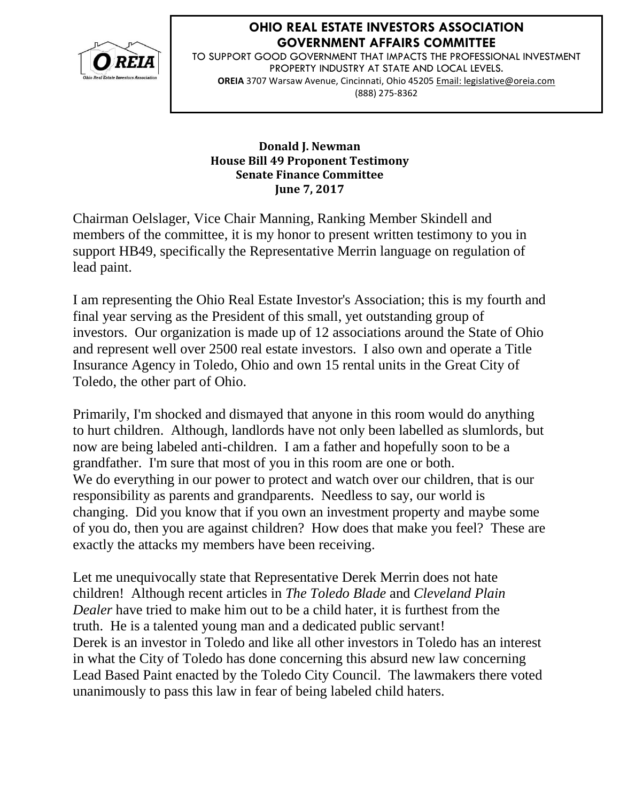

## **OHIO REAL ESTATE INVESTORS ASSOCIATION GOVERNMENT AFFAIRS COMMITTEE**

TO SUPPORT GOOD GOVERNMENT THAT IMPACTS THE PROFESSIONAL INVESTMENT PROPERTY INDUSTRY AT STATE AND LOCAL LEVELS. **OREIA** 3707 Warsaw Avenue, Cincinnati, Ohio 45205 Email: legislative@oreia.com (888) 275-8362

## **Donald J. Newman House Bill 49 Proponent Testimony Senate Finance Committee June 7, 2017**

Chairman Oelslager, Vice Chair Manning, Ranking Member Skindell and members of the committee, it is my honor to present written testimony to you in support HB49, specifically the Representative Merrin language on regulation of lead paint.

I am representing the Ohio Real Estate Investor's Association; this is my fourth and final year serving as the President of this small, yet outstanding group of investors. Our organization is made up of 12 associations around the State of Ohio and represent well over 2500 real estate investors. I also own and operate a Title Insurance Agency in Toledo, Ohio and own 15 rental units in the Great City of Toledo, the other part of Ohio.

Primarily, I'm shocked and dismayed that anyone in this room would do anything to hurt children. Although, landlords have not only been labelled as slumlords, but now are being labeled anti-children. I am a father and hopefully soon to be a grandfather. I'm sure that most of you in this room are one or both. We do everything in our power to protect and watch over our children, that is our responsibility as parents and grandparents. Needless to say, our world is changing. Did you know that if you own an investment property and maybe some of you do, then you are against children? How does that make you feel? These are exactly the attacks my members have been receiving.

Let me unequivocally state that Representative Derek Merrin does not hate children! Although recent articles in *The Toledo Blade* and *Cleveland Plain Dealer* have tried to make him out to be a child hater, it is furthest from the truth. He is a talented young man and a dedicated public servant! Derek is an investor in Toledo and like all other investors in Toledo has an interest in what the City of Toledo has done concerning this absurd new law concerning Lead Based Paint enacted by the Toledo City Council. The lawmakers there voted unanimously to pass this law in fear of being labeled child haters.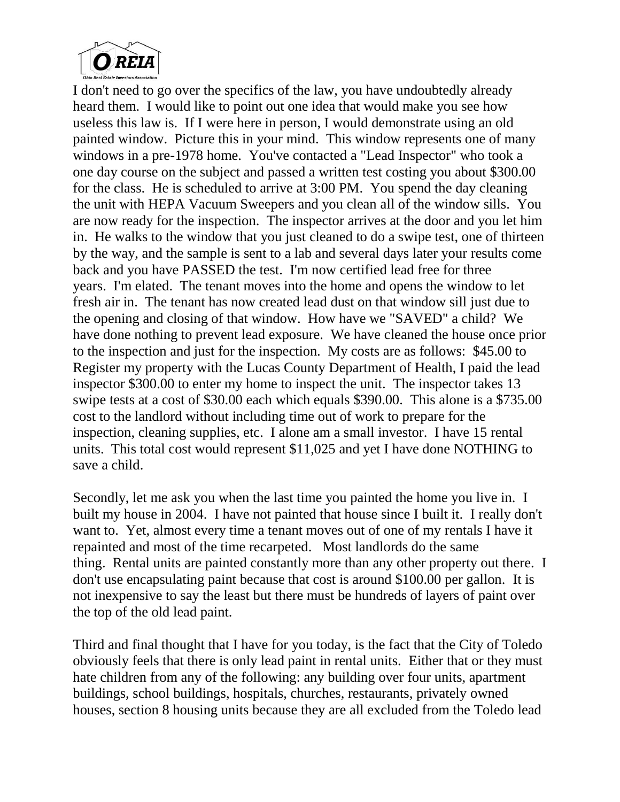

I don't need to go over the specifics of the law, you have undoubtedly already heard them. I would like to point out one idea that would make you see how useless this law is. If I were here in person, I would demonstrate using an old painted window. Picture this in your mind. This window represents one of many windows in a pre-1978 home. You've contacted a "Lead Inspector" who took a one day course on the subject and passed a written test costing you about \$300.00 for the class. He is scheduled to arrive at 3:00 PM. You spend the day cleaning the unit with HEPA Vacuum Sweepers and you clean all of the window sills. You are now ready for the inspection. The inspector arrives at the door and you let him in. He walks to the window that you just cleaned to do a swipe test, one of thirteen by the way, and the sample is sent to a lab and several days later your results come back and you have PASSED the test. I'm now certified lead free for three years. I'm elated. The tenant moves into the home and opens the window to let fresh air in. The tenant has now created lead dust on that window sill just due to the opening and closing of that window. How have we "SAVED" a child? We have done nothing to prevent lead exposure. We have cleaned the house once prior to the inspection and just for the inspection. My costs are as follows: \$45.00 to Register my property with the Lucas County Department of Health, I paid the lead inspector \$300.00 to enter my home to inspect the unit. The inspector takes 13 swipe tests at a cost of \$30.00 each which equals \$390.00. This alone is a \$735.00 cost to the landlord without including time out of work to prepare for the inspection, cleaning supplies, etc. I alone am a small investor. I have 15 rental units. This total cost would represent \$11,025 and yet I have done NOTHING to save a child.

Secondly, let me ask you when the last time you painted the home you live in. I built my house in 2004. I have not painted that house since I built it. I really don't want to. Yet, almost every time a tenant moves out of one of my rentals I have it repainted and most of the time recarpeted. Most landlords do the same thing. Rental units are painted constantly more than any other property out there. I don't use encapsulating paint because that cost is around \$100.00 per gallon. It is not inexpensive to say the least but there must be hundreds of layers of paint over the top of the old lead paint.

Third and final thought that I have for you today, is the fact that the City of Toledo obviously feels that there is only lead paint in rental units. Either that or they must hate children from any of the following: any building over four units, apartment buildings, school buildings, hospitals, churches, restaurants, privately owned houses, section 8 housing units because they are all excluded from the Toledo lead